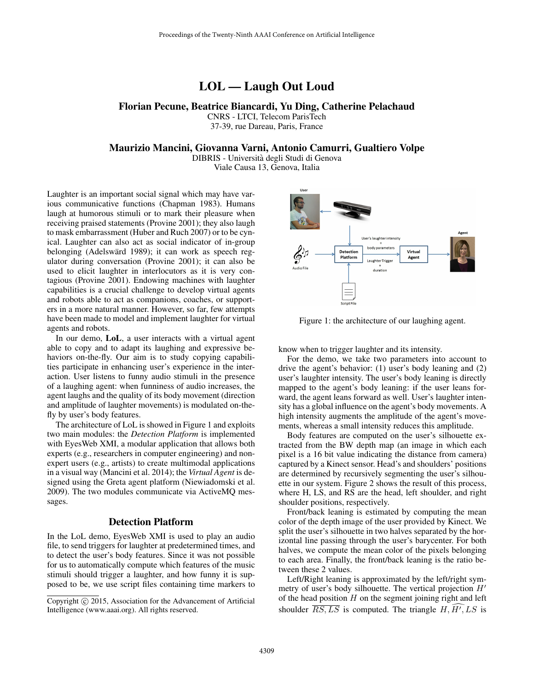# LOL — Laugh Out Loud

## Florian Pecune, Beatrice Biancardi, Yu Ding, Catherine Pelachaud

CNRS - LTCI, Telecom ParisTech 37-39, rue Dareau, Paris, France

#### Maurizio Mancini, Giovanna Varni, Antonio Camurri, Gualtiero Volpe

DIBRIS - Universita degli Studi di Genova ` Viale Causa 13, Genova, Italia

Laughter is an important social signal which may have various communicative functions (Chapman 1983). Humans laugh at humorous stimuli or to mark their pleasure when receiving praised statements (Provine 2001); they also laugh to mask embarrassment (Huber and Ruch 2007) or to be cynical. Laughter can also act as social indicator of in-group belonging (Adelswärd 1989); it can work as speech regulator during conversation (Provine 2001); it can also be used to elicit laughter in interlocutors as it is very contagious (Provine 2001). Endowing machines with laughter capabilities is a crucial challenge to develop virtual agents and robots able to act as companions, coaches, or supporters in a more natural manner. However, so far, few attempts have been made to model and implement laughter for virtual agents and robots.

In our demo, LoL, a user interacts with a virtual agent able to copy and to adapt its laughing and expressive behaviors on-the-fly. Our aim is to study copying capabilities participate in enhancing user's experience in the interaction. User listens to funny audio stimuli in the presence of a laughing agent: when funniness of audio increases, the agent laughs and the quality of its body movement (direction and amplitude of laughter movements) is modulated on-thefly by user's body features.

The architecture of LoL is showed in Figure 1 and exploits two main modules: the *Detection Platform* is implemented with EyesWeb XMI, a modular application that allows both experts (e.g., researchers in computer engineering) and nonexpert users (e.g., artists) to create multimodal applications in a visual way (Mancini et al. 2014); the *Virtual Agent* is designed using the Greta agent platform (Niewiadomski et al. 2009). The two modules communicate via ActiveMQ messages.

### Detection Platform

In the LoL demo, EyesWeb XMI is used to play an audio file, to send triggers for laughter at predetermined times, and to detect the user's body features. Since it was not possible for us to automatically compute which features of the music stimuli should trigger a laughter, and how funny it is supposed to be, we use script files containing time markers to



Figure 1: the architecture of our laughing agent.

know when to trigger laughter and its intensity.

For the demo, we take two parameters into account to drive the agent's behavior: (1) user's body leaning and (2) user's laughter intensity. The user's body leaning is directly mapped to the agent's body leaning: if the user leans forward, the agent leans forward as well. User's laughter intensity has a global influence on the agent's body movements. A high intensity augments the amplitude of the agent's movements, whereas a small intensity reduces this amplitude.

Body features are computed on the user's silhouette extracted from the BW depth map (an image in which each pixel is a 16 bit value indicating the distance from camera) captured by a Kinect sensor. Head's and shoulders' positions are determined by recursively segmenting the user's silhouette in our system. Figure 2 shows the result of this process, where H, LS, and RS are the head, left shoulder, and right shoulder positions, respectively.

Front/back leaning is estimated by computing the mean color of the depth image of the user provided by Kinect. We split the user's silhouette in two halves separated by the horizontal line passing through the user's barycenter. For both halves, we compute the mean color of the pixels belonging to each area. Finally, the front/back leaning is the ratio between these 2 values.

Left/Right leaning is approximated by the left/right symmetry of user's body silhouette. The vertical projection  $H'$ of the head position  $H$  on the segment joining right and left shoulder  $\overline{RS, LS}$  is computed. The triangle  $H, H', LS$  is

Copyright (c) 2015, Association for the Advancement of Artificial Intelligence (www.aaai.org). All rights reserved.